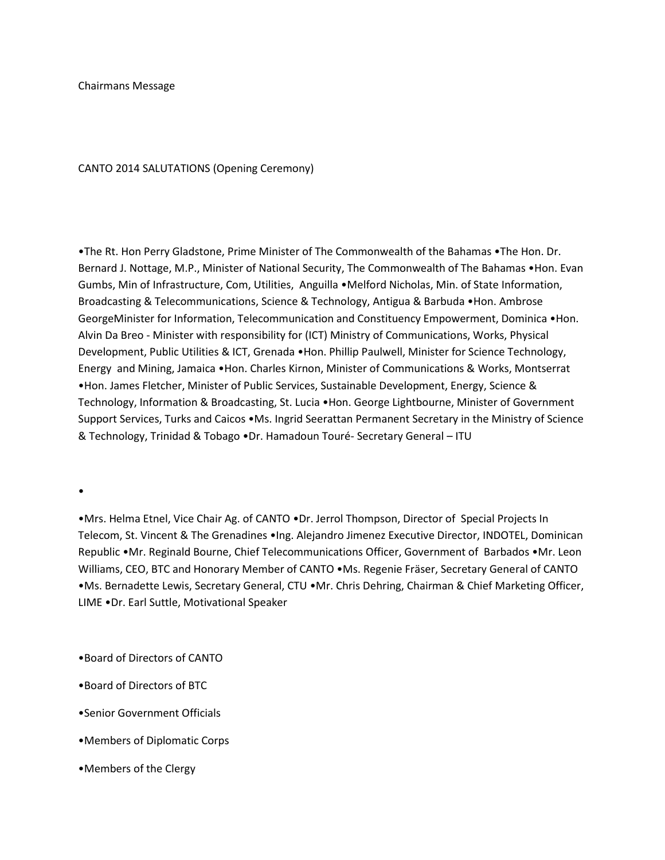## CANTO 2014 SALUTATIONS (Opening Ceremony)

•The Rt. Hon Perry Gladstone, Prime Minister of The Commonwealth of the Bahamas •The Hon. Dr. Bernard J. Nottage, M.P., Minister of National Security, The Commonwealth of The Bahamas •Hon. Evan Gumbs, Min of Infrastructure, Com, Utilities, Anguilla •Melford Nicholas, Min. of State Information, Broadcasting & Telecommunications, Science & Technology, Antigua & Barbuda •Hon. Ambrose GeorgeMinister for Information, Telecommunication and Constituency Empowerment, Dominica •Hon. Alvin Da Breo - Minister with responsibility for (ICT) Ministry of Communications, Works, Physical Development, Public Utilities & ICT, Grenada •Hon. Phillip Paulwell, Minister for Science Technology, Energy and Mining, Jamaica •Hon. Charles Kirnon, Minister of Communications & Works, Montserrat •Hon. James Fletcher, Minister of Public Services, Sustainable Development, Energy, Science & Technology, Information & Broadcasting, St. Lucia •Hon. George Lightbourne, Minister of Government Support Services, Turks and Caicos •Ms. Ingrid Seerattan Permanent Secretary in the Ministry of Science & Technology, Trinidad & Tobago •Dr. Hamadoun Touré- Secretary General – ITU

•

•Mrs. Helma Etnel, Vice Chair Ag. of CANTO •Dr. Jerrol Thompson, Director of Special Projects In Telecom, St. Vincent & The Grenadines •Ing. Alejandro Jimenez Executive Director, INDOTEL, Dominican Republic •Mr. Reginald Bourne, Chief Telecommunications Officer, Government of Barbados •Mr. Leon Williams, CEO, BTC and Honorary Member of CANTO •Ms. Regenie Fräser, Secretary General of CANTO •Ms. Bernadette Lewis, Secretary General, CTU •Mr. Chris Dehring, Chairman & Chief Marketing Officer, LIME •Dr. Earl Suttle, Motivational Speaker

•Board of Directors of CANTO

- •Board of Directors of BTC
- •Senior Government Officials
- •Members of Diplomatic Corps
- •Members of the Clergy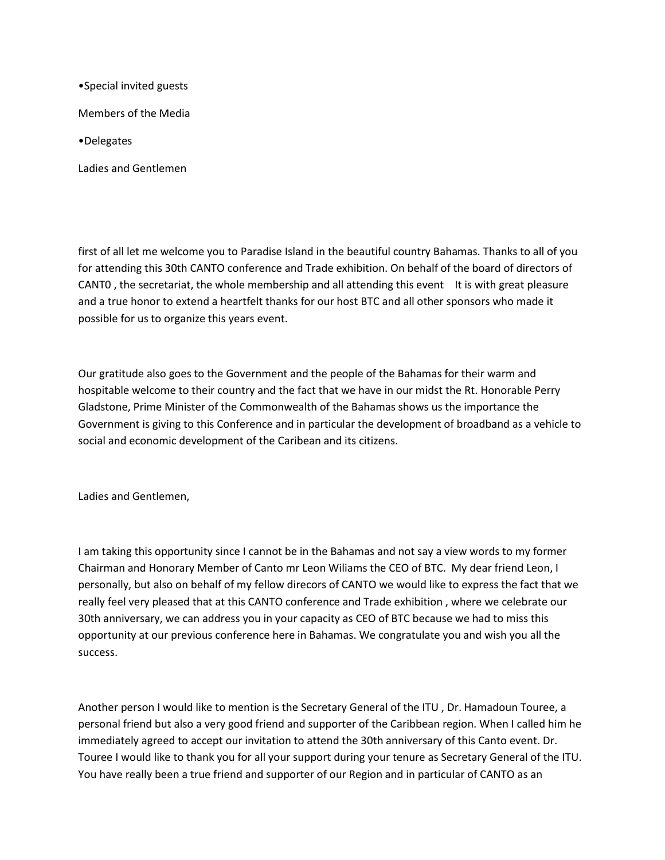•Special invited guests

Members of the Media

•Delegates

Ladies and Gentlemen

first of all let me welcome you to Paradise Island in the beautiful country Bahamas. Thanks to all of you for attending this 30th CANTO conference and Trade exhibition. On behalf of the board of directors of CANT0, the secretariat, the whole membership and all attending this event It is with great pleasure and a true honor to extend a heartfelt thanks for our host BTC and all other sponsors who made it possible for us to organize this years event.

Our gratitude also goes to the Government and the people of the Bahamas for their warm and hospitable welcome to their country and the fact that we have in our midst the Rt. Honorable Perry Gladstone, Prime Minister of the Commonwealth of the Bahamas shows us the importance the Government is giving to this Conference and in particular the development of broadband as a vehicle to social and economic development of the Caribean and its citizens.

Ladies and Gentlemen,

I am taking this opportunity since I cannot be in the Bahamas and not say a view words to my former Chairman and Honorary Member of Canto mr Leon Wiliams the CEO of BTC. My dear friend Leon, I personally, but also on behalf of my fellow direcors of CANTO we would like to express the fact that we really feel very pleased that at this CANTO conference and Trade exhibition , where we celebrate our 30th anniversary, we can address you in your capacity as CEO of BTC because we had to miss this opportunity at our previous conference here in Bahamas. We congratulate you and wish you all the success.

Another person I would like to mention is the Secretary General of the ITU , Dr. Hamadoun Touree, a personal friend but also a very good friend and supporter of the Caribbean region. When I called him he immediately agreed to accept our invitation to attend the 30th anniversary of this Canto event. Dr. Touree I would like to thank you for all your support during your tenure as Secretary General of the ITU. You have really been a true friend and supporter of our Region and in particular of CANTO as an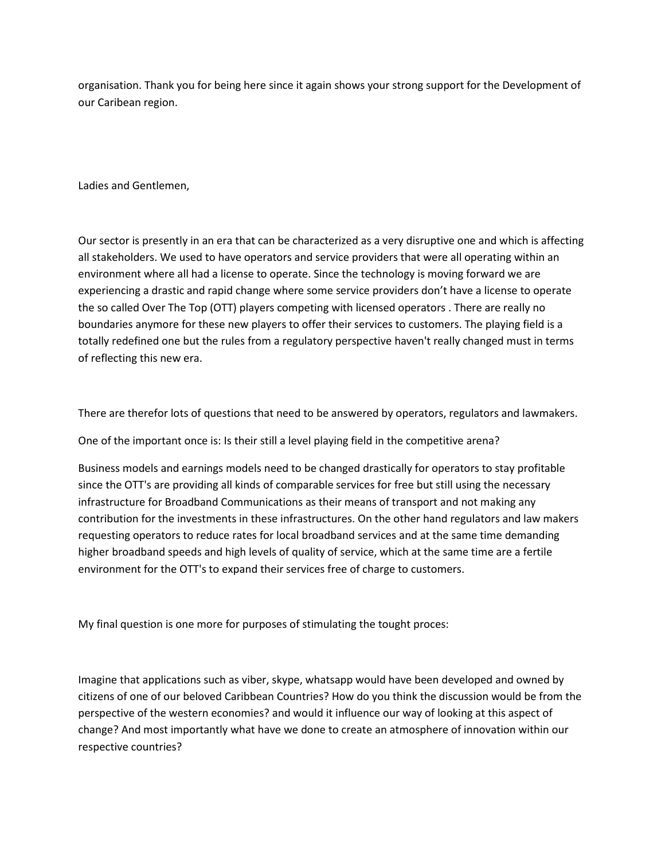organisation. Thank you for being here since it again shows your strong support for the Development of our Caribean region.

Ladies and Gentlemen,

Our sector is presently in an era that can be characterized as a very disruptive one and which is affecting all stakeholders. We used to have operators and service providers that were all operating within an environment where all had a license to operate. Since the technology is moving forward we are experiencing a drastic and rapid change where some service providers don't have a license to operate the so called Over The Top (OTT) players competing with licensed operators . There are really no boundaries anymore for these new players to offer their services to customers. The playing field is a totally redefined one but the rules from a regulatory perspective haven't really changed must in terms of reflecting this new era.

There are therefor lots of questions that need to be answered by operators, regulators and lawmakers.

One of the important once is: Is their still a level playing field in the competitive arena?

Business models and earnings models need to be changed drastically for operators to stay profitable since the OTT's are providing all kinds of comparable services for free but still using the necessary infrastructure for Broadband Communications as their means of transport and not making any contribution for the investments in these infrastructures. On the other hand regulators and law makers requesting operators to reduce rates for local broadband services and at the same time demanding higher broadband speeds and high levels of quality of service, which at the same time are a fertile environment for the OTT's to expand their services free of charge to customers.

My final question is one more for purposes of stimulating the tought proces:

Imagine that applications such as viber, skype, whatsapp would have been developed and owned by citizens of one of our beloved Caribbean Countries? How do you think the discussion would be from the perspective of the western economies? and would it influence our way of looking at this aspect of change? And most importantly what have we done to create an atmosphere of innovation within our respective countries?